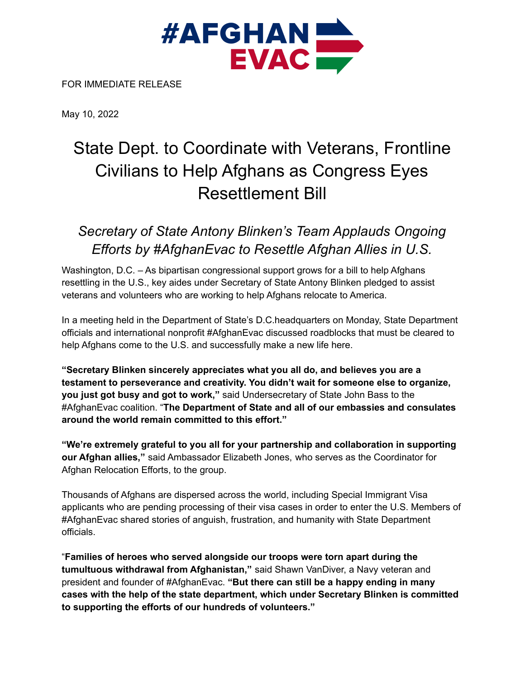

FOR IMMEDIATE RELEASE

May 10, 2022

## State Dept. to Coordinate with Veterans, Frontline Civilians to Help Afghans as Congress Eyes Resettlement Bill

## *Secretary of State Antony Blinken's Team Applauds Ongoing Efforts by #AfghanEvac to Resettle Afghan Allies in U.S.*

Washington, D.C. – As bipartisan congressional support grows for a bill to help Afghans resettling in the U.S., key aides under Secretary of State Antony Blinken pledged to assist veterans and volunteers who are working to help Afghans relocate to America.

In a meeting held in the Department of State's D.C.headquarters on Monday, State Department officials and international nonprofit #AfghanEvac discussed roadblocks that must be cleared to help Afghans come to the U.S. and successfully make a new life here.

**"Secretary Blinken sincerely appreciates what you all do, and believes you are a testament to perseverance and creativity. You didn't wait for someone else to organize, you just got busy and got to work,"** said Undersecretary of State John Bass to the #AfghanEvac coalition. "**The Department of State and all of our embassies and consulates around the world remain committed to this effort."**

**"We're extremely grateful to you all for your partnership and collaboration in supporting our Afghan allies,"** said Ambassador Elizabeth Jones, who serves as the Coordinator for Afghan Relocation Efforts, to the group.

Thousands of Afghans are dispersed across the world, including Special Immigrant Visa applicants who are pending processing of their visa cases in order to enter the U.S. Members of #AfghanEvac shared stories of anguish, frustration, and humanity with State Department officials.

"**Families of heroes who served alongside our troops were torn apart during the tumultuous withdrawal from Afghanistan,"** said Shawn VanDiver, a Navy veteran and president and founder of #AfghanEvac. **"But there can still be a happy ending in many cases with the help of the state department, which under Secretary Blinken is committed to supporting the efforts of our hundreds of volunteers."**